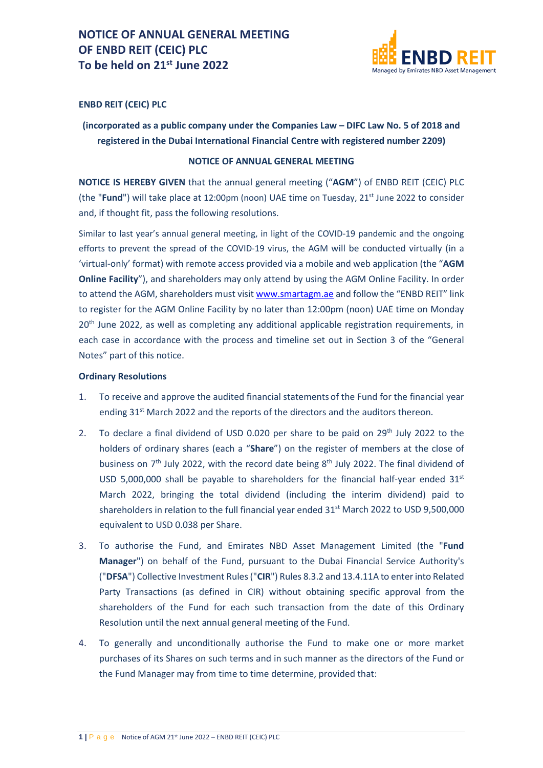

## **ENBD REIT (CEIC) PLC**

**(incorporated as a public company under the Companies Law – DIFC Law No. 5 of 2018 and registered in the Dubai International Financial Centre with registered number 2209)**

#### **NOTICE OF ANNUAL GENERAL MEETING**

**NOTICE IS HEREBY GIVEN** that the annual general meeting ("**AGM**") of ENBD REIT (CEIC) PLC (the "**Fund**") will take place at 12:00pm (noon) UAE time on Tuesday, 21st June 2022 to consider and, if thought fit, pass the following resolutions.

Similar to last year's annual general meeting, in light of the COVID-19 pandemic and the ongoing efforts to prevent the spread of the COVID-19 virus, the AGM will be conducted virtually (in a 'virtual-only' format) with remote access provided via a mobile and web application (the "**AGM Online Facility**"), and shareholders may only attend by using the AGM Online Facility. In order to attend the AGM, shareholders must visi[t www.smartagm.ae](http://www.smartagm.ae/) and follow the "ENBD REIT" link to register for the AGM Online Facility by no later than 12:00pm (noon) UAE time on Monday 20<sup>th</sup> June 2022, as well as completing any additional applicable registration requirements, in each case in accordance with the process and timeline set out in Section 3 of the "General Notes" part of this notice.

### **Ordinary Resolutions**

- 1. To receive and approve the audited financial statements of the Fund for the financial year ending 31<sup>st</sup> March 2022 and the reports of the directors and the auditors thereon.
- 2. To declare a final dividend of USD 0.020 per share to be paid on  $29<sup>th</sup>$  July 2022 to the holders of ordinary shares (each a "**Share**") on the register of members at the close of business on 7<sup>th</sup> July 2022, with the record date being 8<sup>th</sup> July 2022. The final dividend of USD 5,000,000 shall be payable to shareholders for the financial half-year ended  $31<sup>st</sup>$ March 2022, bringing the total dividend (including the interim dividend) paid to shareholders in relation to the full financial year ended  $31<sup>st</sup>$  March 2022 to USD 9,500,000 equivalent to USD 0.038 per Share.
- 3. To authorise the Fund, and Emirates NBD Asset Management Limited (the "**Fund Manager**") on behalf of the Fund, pursuant to the Dubai Financial Service Authority's ("**DFSA**") Collective Investment Rules ("**CIR**") Rules 8.3.2 and 13.4.11A to enter into Related Party Transactions (as defined in CIR) without obtaining specific approval from the shareholders of the Fund for each such transaction from the date of this Ordinary Resolution until the next annual general meeting of the Fund.
- 4. To generally and unconditionally authorise the Fund to make one or more market purchases of its Shares on such terms and in such manner as the directors of the Fund or the Fund Manager may from time to time determine, provided that: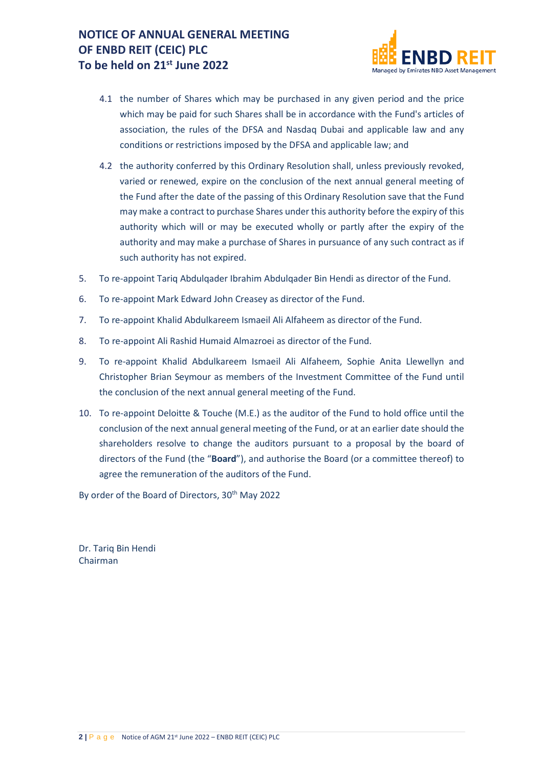

- 4.1 the number of Shares which may be purchased in any given period and the price which may be paid for such Shares shall be in accordance with the Fund's articles of association, the rules of the DFSA and Nasdaq Dubai and applicable law and any conditions or restrictions imposed by the DFSA and applicable law; and
- 4.2 the authority conferred by this Ordinary Resolution shall, unless previously revoked, varied or renewed, expire on the conclusion of the next annual general meeting of the Fund after the date of the passing of this Ordinary Resolution save that the Fund may make a contract to purchase Shares under this authority before the expiry of this authority which will or may be executed wholly or partly after the expiry of the authority and may make a purchase of Shares in pursuance of any such contract as if such authority has not expired.
- 5. To re-appoint Tariq Abdulqader Ibrahim Abdulqader Bin Hendi as director of the Fund.
- 6. To re-appoint Mark Edward John Creasey as director of the Fund.
- 7. To re-appoint Khalid Abdulkareem Ismaeil Ali Alfaheem as director of the Fund.
- 8. To re-appoint Ali Rashid Humaid Almazroei as director of the Fund.
- 9. To re-appoint Khalid Abdulkareem Ismaeil Ali Alfaheem, Sophie Anita Llewellyn and Christopher Brian Seymour as members of the Investment Committee of the Fund until the conclusion of the next annual general meeting of the Fund.
- 10. To re-appoint Deloitte & Touche (M.E.) as the auditor of the Fund to hold office until the conclusion of the next annual general meeting of the Fund, or at an earlier date should the shareholders resolve to change the auditors pursuant to a proposal by the board of directors of the Fund (the "**Board**"), and authorise the Board (or a committee thereof) to agree the remuneration of the auditors of the Fund.

By order of the Board of Directors, 30<sup>th</sup> May 2022

Dr. Tariq Bin Hendi Chairman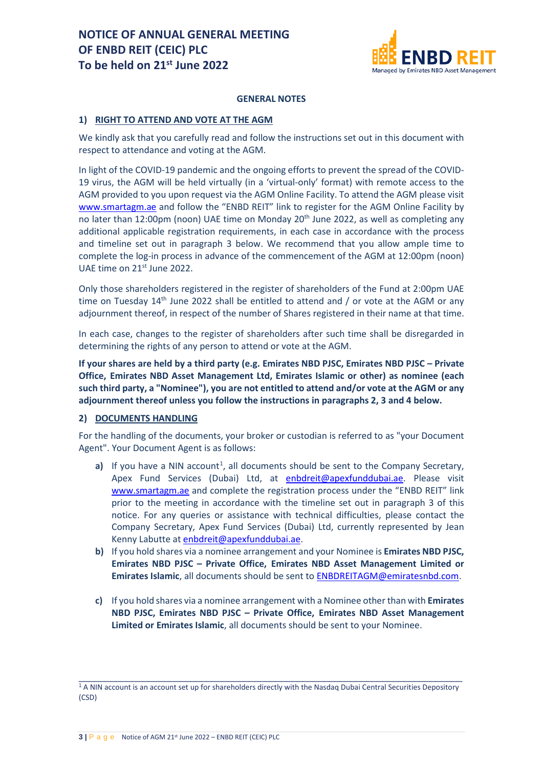

#### **GENERAL NOTES**

#### **1) RIGHT TO ATTEND AND VOTE AT THE AGM**

We kindly ask that you carefully read and follow the instructions set out in this document with respect to attendance and voting at the AGM.

In light of the COVID-19 pandemic and the ongoing efforts to prevent the spread of the COVID-19 virus, the AGM will be held virtually (in a 'virtual-only' format) with remote access to the AGM provided to you upon request via the AGM Online Facility. To attend the AGM please visit [www.smartagm.ae](http://www.smartagm.ae/) and follow the "ENBD REIT" link to register for the AGM Online Facility by no later than 12:00pm (noon) UAE time on Monday 20<sup>th</sup> June 2022, as well as completing any additional applicable registration requirements, in each case in accordance with the process and timeline set out in paragraph 3 below. We recommend that you allow ample time to complete the log-in process in advance of the commencement of the AGM at 12:00pm (noon) UAE time on 21<sup>st</sup> June 2022.

Only those shareholders registered in the register of shareholders of the Fund at 2:00pm UAE time on Tuesday  $14<sup>th</sup>$  June 2022 shall be entitled to attend and / or vote at the AGM or any adjournment thereof, in respect of the number of Shares registered in their name at that time.

In each case, changes to the register of shareholders after such time shall be disregarded in determining the rights of any person to attend or vote at the AGM.

**If your shares are held by a third party (e.g. Emirates NBD PJSC, Emirates NBD PJSC – Private Office, Emirates NBD Asset Management Ltd, Emirates Islamic or other) as nominee (each such third party, a "Nominee"), you are not entitled to attend and/or vote at the AGM or any adjournment thereof unless you follow the instructions in paragraphs 2, 3 and 4 below.**

#### **2) DOCUMENTS HANDLING**

For the handling of the documents, your broker or custodian is referred to as "your Document Agent". Your Document Agent is as follows:

- a) If you have a NIN account<sup>[1](#page-2-0)</sup>, all documents should be sent to the Company Secretary, Apex Fund Services (Dubai) Ltd, at [enbdreit@apexfunddubai.ae.](mailto:enbdreit@apexfunddubai.ae) Please visit [www.smartagm.ae](http://www.smartagm.ae/) and complete the registration process under the "ENBD REIT" link prior to the meeting in accordance with the timeline set out in paragraph 3 of this notice. For any queries or assistance with technical difficulties, please contact the Company Secretary, Apex Fund Services (Dubai) Ltd, currently represented by Jean Kenny Labutte at [enbdreit@apexfunddubai.ae.](mailto:enbdreit@apexfunddubai.ae)
- **b)** If you hold shares via a nominee arrangement and your Nominee is **Emirates NBD PJSC, Emirates NBD PJSC – Private Office, Emirates NBD Asset Management Limited or Emirates Islamic**, all documents should be sent to [ENBDREITAGM@emiratesnbd.com.](mailto:ENBDREITAGM@emiratesnbd.com)
- **c)** If you hold shares via a nominee arrangement with a Nominee other than with **Emirates NBD PJSC, Emirates NBD PJSC – Private Office, Emirates NBD Asset Management Limited or Emirates Islamic**, all documents should be sent to your Nominee.

<span id="page-2-0"></span>\_\_\_\_\_\_\_\_\_\_\_\_\_\_\_\_\_\_\_\_\_\_\_\_\_\_\_\_\_\_\_\_\_\_\_\_\_\_\_\_\_\_\_\_\_\_\_\_\_\_\_\_\_\_\_\_\_\_\_\_\_\_\_\_\_\_\_\_\_\_\_\_ <sup>1</sup> A NIN account is an account set up for shareholders directly with the Nasdaq Dubai Central Securities Depository (CSD)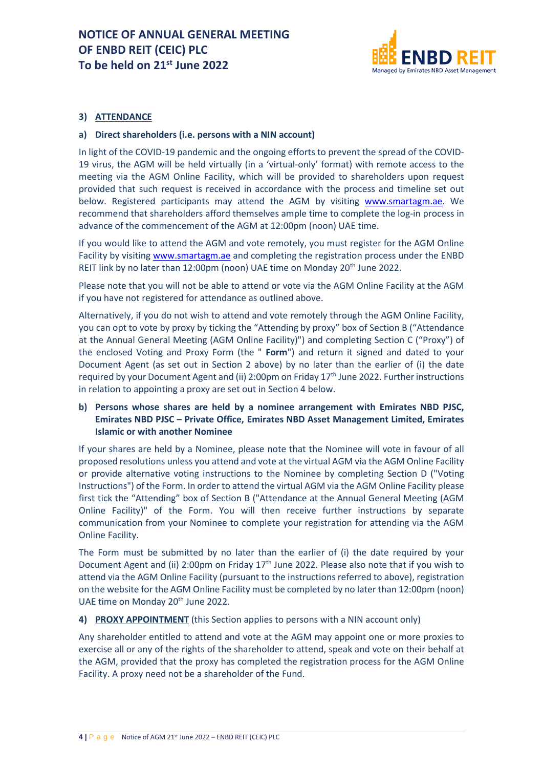

## **3) ATTENDANCE**

#### **a) Direct shareholders (i.e. persons with a NIN account)**

In light of the COVID-19 pandemic and the ongoing efforts to prevent the spread of the COVID-19 virus, the AGM will be held virtually (in a 'virtual-only' format) with remote access to the meeting via the AGM Online Facility, which will be provided to shareholders upon request provided that such request is received in accordance with the process and timeline set out below. Registered participants may attend the AGM by visiting [www.smartagm.ae.](http://www.smartagm.ae/) We recommend that shareholders afford themselves ample time to complete the log-in process in advance of the commencement of the AGM at 12:00pm (noon) UAE time.

If you would like to attend the AGM and vote remotely, you must register for the AGM Online Facility by visiting [www.smartagm.ae](http://www.smartagm.ae/) and completing the registration process under the ENBD REIT link by no later than 12:00pm (noon) UAE time on Monday 20<sup>th</sup> June 2022.

Please note that you will not be able to attend or vote via the AGM Online Facility at the AGM if you have not registered for attendance as outlined above.

Alternatively, if you do not wish to attend and vote remotely through the AGM Online Facility, you can opt to vote by proxy by ticking the "Attending by proxy" box of Section B ("Attendance at the Annual General Meeting (AGM Online Facility)") and completing Section C ("Proxy") of the enclosed Voting and Proxy Form (the " **Form**") and return it signed and dated to your Document Agent (as set out in Section 2 above) by no later than the earlier of (i) the date required by your Document Agent and (ii) 2:00pm on Friday 17<sup>th</sup> June 2022. Further instructions in relation to appointing a proxy are set out in Section 4 below.

## **b) Persons whose shares are held by a nominee arrangement with Emirates NBD PJSC, Emirates NBD PJSC – Private Office, Emirates NBD Asset Management Limited, Emirates Islamic or with another Nominee**

If your shares are held by a Nominee, please note that the Nominee will vote in favour of all proposed resolutions unless you attend and vote at the virtual AGM via the AGM Online Facility or provide alternative voting instructions to the Nominee by completing Section D ("Voting Instructions") of the Form. In order to attend the virtual AGM via the AGM Online Facility please first tick the "Attending" box of Section B ("Attendance at the Annual General Meeting (AGM Online Facility)" of the Form. You will then receive further instructions by separate communication from your Nominee to complete your registration for attending via the AGM Online Facility.

The Form must be submitted by no later than the earlier of (i) the date required by your Document Agent and (ii) 2:00pm on Friday  $17<sup>th</sup>$  June 2022. Please also note that if you wish to attend via the AGM Online Facility (pursuant to the instructions referred to above), registration on the website for the AGM Online Facility must be completed by no later than 12:00pm (noon) UAE time on Monday 20<sup>th</sup> June 2022.

#### **4) PROXY APPOINTMENT** (this Section applies to persons with a NIN account only)

Any shareholder entitled to attend and vote at the AGM may appoint one or more proxies to exercise all or any of the rights of the shareholder to attend, speak and vote on their behalf at the AGM, provided that the proxy has completed the registration process for the AGM Online Facility. A proxy need not be a shareholder of the Fund.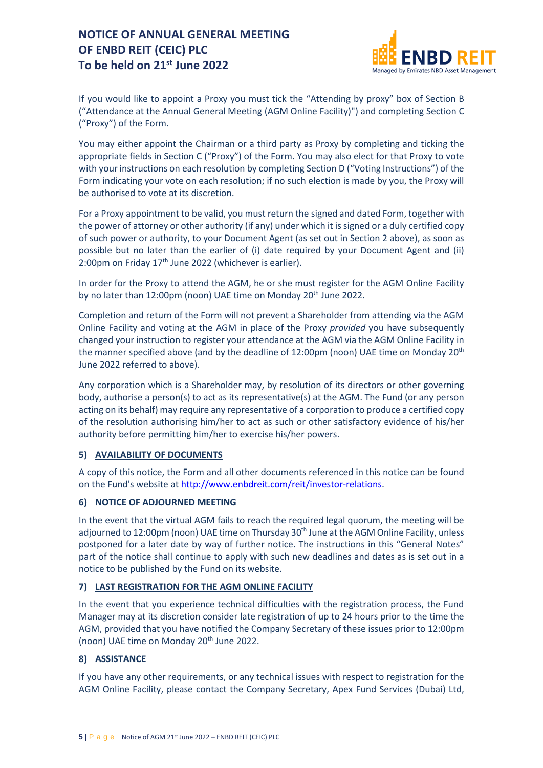

If you would like to appoint a Proxy you must tick the "Attending by proxy" box of Section B ("Attendance at the Annual General Meeting (AGM Online Facility)") and completing Section C ("Proxy") of the Form.

You may either appoint the Chairman or a third party as Proxy by completing and ticking the appropriate fields in Section C ("Proxy") of the Form. You may also elect for that Proxy to vote with your instructions on each resolution by completing Section D ("Voting Instructions") of the Form indicating your vote on each resolution; if no such election is made by you, the Proxy will be authorised to vote at its discretion.

For a Proxy appointment to be valid, you must return the signed and dated Form, together with the power of attorney or other authority (if any) under which it is signed or a duly certified copy of such power or authority, to your Document Agent (as set out in Section 2 above), as soon as possible but no later than the earlier of (i) date required by your Document Agent and (ii) 2:00pm on Friday 17<sup>th</sup> June 2022 (whichever is earlier).

In order for the Proxy to attend the AGM, he or she must register for the AGM Online Facility by no later than 12:00pm (noon) UAE time on Monday 20<sup>th</sup> June 2022.

Completion and return of the Form will not prevent a Shareholder from attending via the AGM Online Facility and voting at the AGM in place of the Proxy *provided* you have subsequently changed your instruction to register your attendance at the AGM via the AGM Online Facility in the manner specified above (and by the deadline of 12:00pm (noon) UAE time on Monday  $20<sup>th</sup>$ June 2022 referred to above).

Any corporation which is a Shareholder may, by resolution of its directors or other governing body, authorise a person(s) to act as its representative(s) at the AGM. The Fund (or any person acting on its behalf) may require any representative of a corporation to produce a certified copy of the resolution authorising him/her to act as such or other satisfactory evidence of his/her authority before permitting him/her to exercise his/her powers.

## **5) AVAILABILITY OF DOCUMENTS**

A copy of this notice, the Form and all other documents referenced in this notice can be found on the Fund's website a[t http://www.enbdreit.com/reit/investor-relations.](http://www.enbdreit.com/reit/investor-relations)

## **6) NOTICE OF ADJOURNED MEETING**

In the event that the virtual AGM fails to reach the required legal quorum, the meeting will be adjourned to 12:00pm (noon) UAE time on Thursday 30<sup>th</sup> June at the AGM Online Facility, unless postponed for a later date by way of further notice. The instructions in this "General Notes" part of the notice shall continue to apply with such new deadlines and dates as is set out in a notice to be published by the Fund on its website.

## **7) LAST REGISTRATION FOR THE AGM ONLINE FACILITY**

In the event that you experience technical difficulties with the registration process, the Fund Manager may at its discretion consider late registration of up to 24 hours prior to the time the AGM, provided that you have notified the Company Secretary of these issues prior to 12:00pm (noon) UAE time on Monday 20<sup>th</sup> June 2022.

## **8) ASSISTANCE**

If you have any other requirements, or any technical issues with respect to registration for the AGM Online Facility, please contact the Company Secretary, Apex Fund Services (Dubai) Ltd,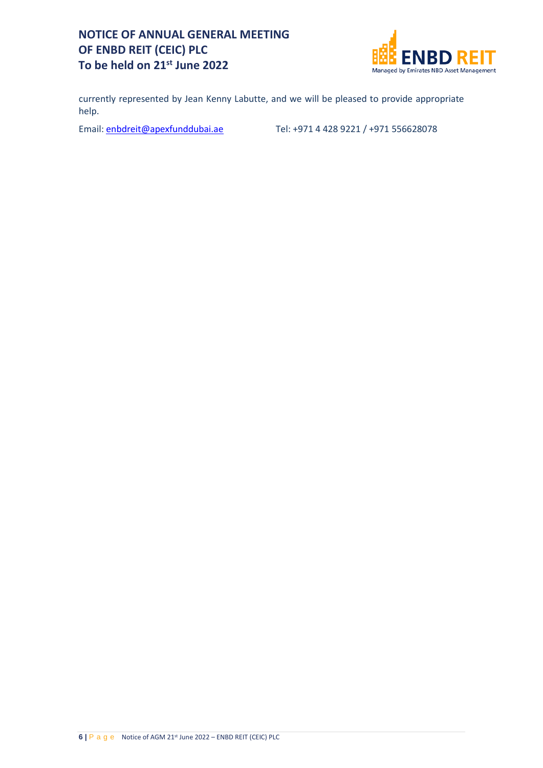

currently represented by Jean Kenny Labutte, and we will be pleased to provide appropriate help.

Email: [enbdreit@apexfunddubai.ae](mailto:enbdreit@apexfunddubai.ae) Tel: +971 4 428 9221 / +971 556628078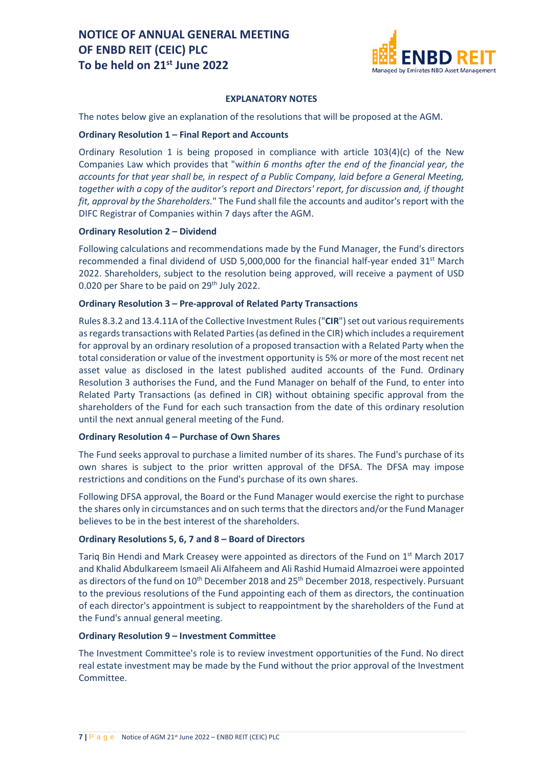

#### **EXPLANATORY NOTES**

The notes below give an explanation of the resolutions that will be proposed at the AGM.

#### **Ordinary Resolution 1 – Final Report and Accounts**

Ordinary Resolution 1 is being proposed in compliance with article  $103(4)(c)$  of the New Companies Law which provides that "w*ithin 6 months after the end of the financial year, the accounts for that year shall be, in respect of a Public Company, laid before a General Meeting, together with a copy of the auditor's report and Directors' report, for discussion and, if thought fit, approval by the Shareholders.*" The Fund shall file the accounts and auditor's report with the DIFC Registrar of Companies within 7 days after the AGM.

#### **Ordinary Resolution 2 – Dividend**

Following calculations and recommendations made by the Fund Manager, the Fund's directors recommended a final dividend of USD 5,000,000 for the financial half-year ended 31<sup>st</sup> March 2022. Shareholders, subject to the resolution being approved, will receive a payment of USD 0.020 per Share to be paid on 29<sup>th</sup> July 2022.

#### **Ordinary Resolution 3 – Pre-approval of Related Party Transactions**

Rules 8.3.2 and 13.4.11A of the Collective Investment Rules ("**CIR**") set out various requirements as regards transactions with Related Parties (as defined in the CIR) which includes a requirement for approval by an ordinary resolution of a proposed transaction with a Related Party when the total consideration or value of the investment opportunity is 5% or more of the most recent net asset value as disclosed in the latest published audited accounts of the Fund. Ordinary Resolution 3 authorises the Fund, and the Fund Manager on behalf of the Fund, to enter into Related Party Transactions (as defined in CIR) without obtaining specific approval from the shareholders of the Fund for each such transaction from the date of this ordinary resolution until the next annual general meeting of the Fund.

#### **Ordinary Resolution 4 – Purchase of Own Shares**

The Fund seeks approval to purchase a limited number of its shares. The Fund's purchase of its own shares is subject to the prior written approval of the DFSA. The DFSA may impose restrictions and conditions on the Fund's purchase of its own shares.

Following DFSA approval, the Board or the Fund Manager would exercise the right to purchase the shares only in circumstances and on such terms that the directors and/or the Fund Manager believes to be in the best interest of the shareholders.

#### **Ordinary Resolutions 5, 6, 7 and 8 – Board of Directors**

Tariq Bin Hendi and Mark Creasey were appointed as directors of the Fund on 1st March 2017 and Khalid Abdulkareem Ismaeil Ali Alfaheem and Ali Rashid Humaid Almazroei were appointed as directors of the fund on 10<sup>th</sup> December 2018 and 25<sup>th</sup> December 2018, respectively. Pursuant to the previous resolutions of the Fund appointing each of them as directors, the continuation of each director's appointment is subject to reappointment by the shareholders of the Fund at the Fund's annual general meeting.

#### **Ordinary Resolution 9 – Investment Committee**

The Investment Committee's role is to review investment opportunities of the Fund. No direct real estate investment may be made by the Fund without the prior approval of the Investment Committee.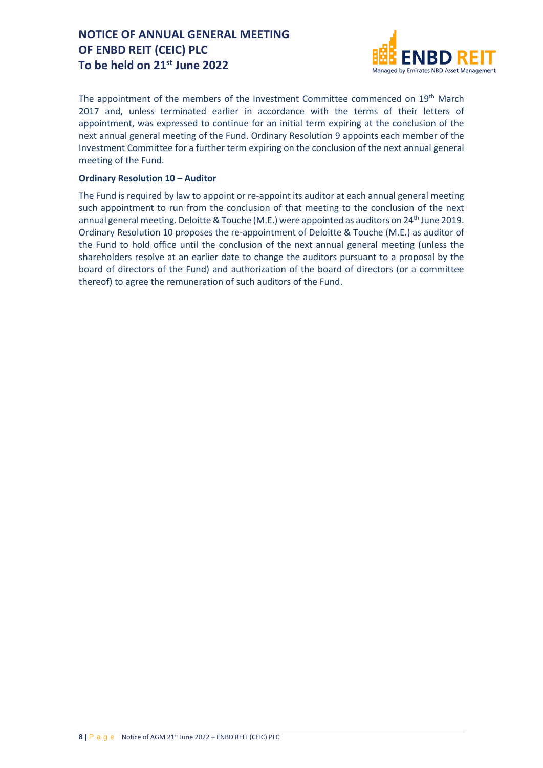

The appointment of the members of the Investment Committee commenced on 19th March 2017 and, unless terminated earlier in accordance with the terms of their letters of appointment, was expressed to continue for an initial term expiring at the conclusion of the next annual general meeting of the Fund. Ordinary Resolution 9 appoints each member of the Investment Committee for a further term expiring on the conclusion of the next annual general meeting of the Fund.

#### **Ordinary Resolution 10 – Auditor**

The Fund is required by law to appoint or re-appoint its auditor at each annual general meeting such appointment to run from the conclusion of that meeting to the conclusion of the next annual general meeting. Deloitte & Touche (M.E.) were appointed as auditors on 24<sup>th</sup> June 2019. Ordinary Resolution 10 proposes the re-appointment of Deloitte & Touche (M.E.) as auditor of the Fund to hold office until the conclusion of the next annual general meeting (unless the shareholders resolve at an earlier date to change the auditors pursuant to a proposal by the board of directors of the Fund) and authorization of the board of directors (or a committee thereof) to agree the remuneration of such auditors of the Fund.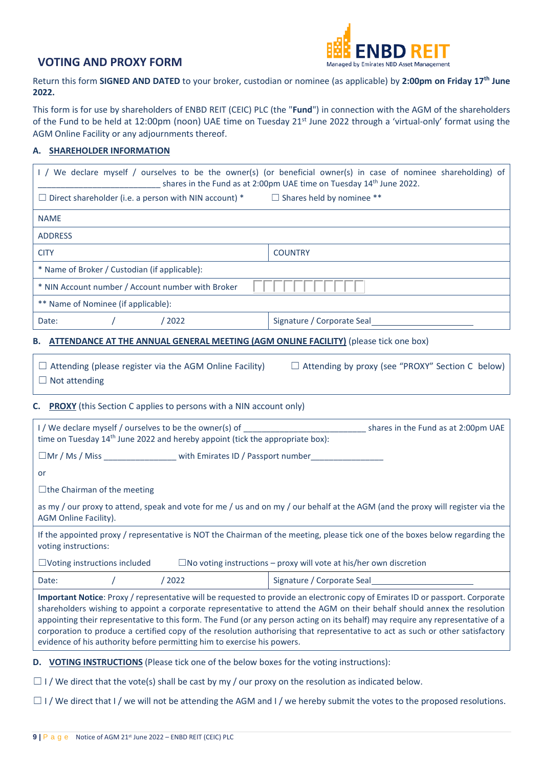

Return this form **SIGNED AND DATED** to your broker, custodian or nominee (as applicable) by **2:00pm on Friday 17th June 2022.** 

This form is for use by shareholders of ENBD REIT (CEIC) PLC (the "**Fund**") in connection with the AGM of the shareholders of the Fund to be held at 12:00pm (noon) UAE time on Tuesday 21<sup>st</sup> June 2022 through a 'virtual-only' format using the AGM Online Facility or any adjournments thereof.

#### **A. SHAREHOLDER INFORMATION**

|                                                                                                                                                                                                                                                                                                                                                                                                                                                                                                                                                                                                            | I / We declare myself / ourselves to be the owner(s) (or beneficial owner(s) in case of nominee shareholding) of<br>shares in the Fund as at 2:00pm UAE time on Tuesday 14 <sup>th</sup> June 2022. |  |  |  |  |
|------------------------------------------------------------------------------------------------------------------------------------------------------------------------------------------------------------------------------------------------------------------------------------------------------------------------------------------------------------------------------------------------------------------------------------------------------------------------------------------------------------------------------------------------------------------------------------------------------------|-----------------------------------------------------------------------------------------------------------------------------------------------------------------------------------------------------|--|--|--|--|
| $\Box$ Direct shareholder (i.e. a person with NIN account) * $\Box$ Shares held by nominee **                                                                                                                                                                                                                                                                                                                                                                                                                                                                                                              |                                                                                                                                                                                                     |  |  |  |  |
| <b>NAME</b>                                                                                                                                                                                                                                                                                                                                                                                                                                                                                                                                                                                                |                                                                                                                                                                                                     |  |  |  |  |
| <b>ADDRESS</b>                                                                                                                                                                                                                                                                                                                                                                                                                                                                                                                                                                                             |                                                                                                                                                                                                     |  |  |  |  |
| <b>CITY</b>                                                                                                                                                                                                                                                                                                                                                                                                                                                                                                                                                                                                | <b>COUNTRY</b>                                                                                                                                                                                      |  |  |  |  |
| * Name of Broker / Custodian (if applicable):                                                                                                                                                                                                                                                                                                                                                                                                                                                                                                                                                              |                                                                                                                                                                                                     |  |  |  |  |
| * NIN Account number / Account number with Broker                                                                                                                                                                                                                                                                                                                                                                                                                                                                                                                                                          |                                                                                                                                                                                                     |  |  |  |  |
| ** Name of Nominee (if applicable):                                                                                                                                                                                                                                                                                                                                                                                                                                                                                                                                                                        |                                                                                                                                                                                                     |  |  |  |  |
| /2022<br>Date:                                                                                                                                                                                                                                                                                                                                                                                                                                                                                                                                                                                             | Signature / Corporate Seal                                                                                                                                                                          |  |  |  |  |
| B. ATTENDANCE AT THE ANNUAL GENERAL MEETING (AGM ONLINE FACILITY) (please tick one box)                                                                                                                                                                                                                                                                                                                                                                                                                                                                                                                    |                                                                                                                                                                                                     |  |  |  |  |
| $\Box$ Attending by proxy (see "PROXY" Section C below)<br>$\Box$ Attending (please register via the AGM Online Facility)<br>$\Box$ Not attending                                                                                                                                                                                                                                                                                                                                                                                                                                                          |                                                                                                                                                                                                     |  |  |  |  |
| <b>C.</b> PROXY (this Section C applies to persons with a NIN account only)                                                                                                                                                                                                                                                                                                                                                                                                                                                                                                                                |                                                                                                                                                                                                     |  |  |  |  |
| I / We declare myself / ourselves to be the owner(s) of<br>shares in the Fund as at 2:00pm UAE<br>time on Tuesday 14 <sup>th</sup> June 2022 and hereby appoint (tick the appropriate box):                                                                                                                                                                                                                                                                                                                                                                                                                |                                                                                                                                                                                                     |  |  |  |  |
| $\square$ Mr / Ms / Miss with Emirates ID / Passport number                                                                                                                                                                                                                                                                                                                                                                                                                                                                                                                                                |                                                                                                                                                                                                     |  |  |  |  |
| or                                                                                                                                                                                                                                                                                                                                                                                                                                                                                                                                                                                                         |                                                                                                                                                                                                     |  |  |  |  |
| $\Box$ the Chairman of the meeting                                                                                                                                                                                                                                                                                                                                                                                                                                                                                                                                                                         |                                                                                                                                                                                                     |  |  |  |  |
| as my / our proxy to attend, speak and vote for me / us and on my / our behalf at the AGM (and the proxy will register via the<br>AGM Online Facility).                                                                                                                                                                                                                                                                                                                                                                                                                                                    |                                                                                                                                                                                                     |  |  |  |  |
| If the appointed proxy / representative is NOT the Chairman of the meeting, please tick one of the boxes below regarding the<br>voting instructions:                                                                                                                                                                                                                                                                                                                                                                                                                                                       |                                                                                                                                                                                                     |  |  |  |  |
| $\Box$ Voting instructions included<br>$\Box$ No voting instructions – proxy will vote at his/her own discretion                                                                                                                                                                                                                                                                                                                                                                                                                                                                                           |                                                                                                                                                                                                     |  |  |  |  |
| /2022<br>Date:                                                                                                                                                                                                                                                                                                                                                                                                                                                                                                                                                                                             | Signature / Corporate Seal                                                                                                                                                                          |  |  |  |  |
| Important Notice: Proxy / representative will be requested to provide an electronic copy of Emirates ID or passport. Corporate<br>shareholders wishing to appoint a corporate representative to attend the AGM on their behalf should annex the resolution<br>appointing their representative to this form. The Fund (or any person acting on its behalf) may require any representative of a<br>corporation to produce a certified copy of the resolution authorising that representative to act as such or other satisfactory<br>evidence of his authority before permitting him to exercise his powers. |                                                                                                                                                                                                     |  |  |  |  |
| D. VOTING INSTRUCTIONS (Please tick one of the below boxes for the voting instructions):                                                                                                                                                                                                                                                                                                                                                                                                                                                                                                                   |                                                                                                                                                                                                     |  |  |  |  |
| $\Box$ I / We direct that the vote(s) shall be cast by my / our proxy on the resolution as indicated below.                                                                                                                                                                                                                                                                                                                                                                                                                                                                                                |                                                                                                                                                                                                     |  |  |  |  |

□ I / We direct that I / we will not be attending the AGM and I / we hereby submit the votes to the proposed resolutions.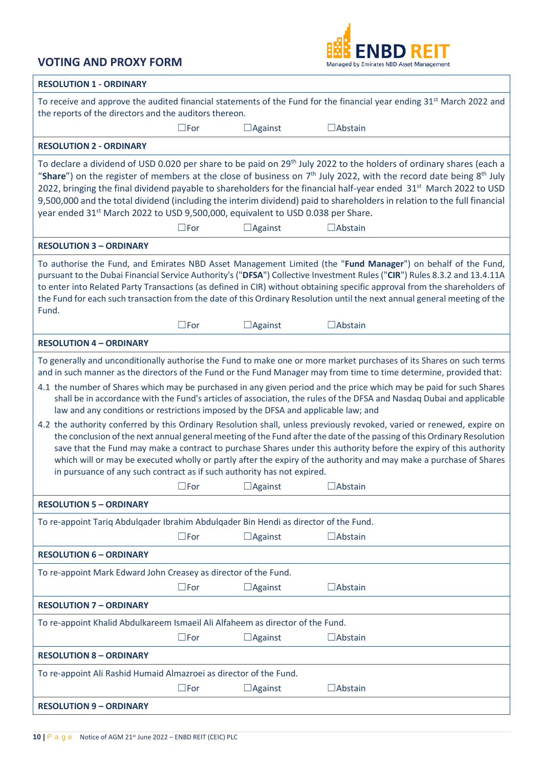

| <b>RESOLUTION 1 - ORDINARY</b>                                                                                                                                                                                                                                                                                                                                                                                                                                                                                                                                                                                                                                                                                                                                                                                                                                                                                                                                                                                                                                                                                                                                |  |  |  |  |  |
|---------------------------------------------------------------------------------------------------------------------------------------------------------------------------------------------------------------------------------------------------------------------------------------------------------------------------------------------------------------------------------------------------------------------------------------------------------------------------------------------------------------------------------------------------------------------------------------------------------------------------------------------------------------------------------------------------------------------------------------------------------------------------------------------------------------------------------------------------------------------------------------------------------------------------------------------------------------------------------------------------------------------------------------------------------------------------------------------------------------------------------------------------------------|--|--|--|--|--|
| To receive and approve the audited financial statements of the Fund for the financial year ending 31 <sup>st</sup> March 2022 and<br>the reports of the directors and the auditors thereon.                                                                                                                                                                                                                                                                                                                                                                                                                                                                                                                                                                                                                                                                                                                                                                                                                                                                                                                                                                   |  |  |  |  |  |
| $\square$ For<br>$\Box$ Against<br>$\Box$ Abstain                                                                                                                                                                                                                                                                                                                                                                                                                                                                                                                                                                                                                                                                                                                                                                                                                                                                                                                                                                                                                                                                                                             |  |  |  |  |  |
| <b>RESOLUTION 2 - ORDINARY</b>                                                                                                                                                                                                                                                                                                                                                                                                                                                                                                                                                                                                                                                                                                                                                                                                                                                                                                                                                                                                                                                                                                                                |  |  |  |  |  |
| To declare a dividend of USD 0.020 per share to be paid on 29 <sup>th</sup> July 2022 to the holders of ordinary shares (each a<br>"Share") on the register of members at the close of business on $7th$ July 2022, with the record date being $8th$ July<br>2022, bringing the final dividend payable to shareholders for the financial half-year ended 31 <sup>st</sup> March 2022 to USD<br>9,500,000 and the total dividend (including the interim dividend) paid to shareholders in relation to the full financial<br>year ended 31 <sup>st</sup> March 2022 to USD 9,500,000, equivalent to USD 0.038 per Share.<br>$\square$ For<br>$\Box$ Against<br>$\Box$ Abstain                                                                                                                                                                                                                                                                                                                                                                                                                                                                                   |  |  |  |  |  |
| <b>RESOLUTION 3 - ORDINARY</b>                                                                                                                                                                                                                                                                                                                                                                                                                                                                                                                                                                                                                                                                                                                                                                                                                                                                                                                                                                                                                                                                                                                                |  |  |  |  |  |
| To authorise the Fund, and Emirates NBD Asset Management Limited (the "Fund Manager") on behalf of the Fund,<br>pursuant to the Dubai Financial Service Authority's ("DFSA") Collective Investment Rules ("CIR") Rules 8.3.2 and 13.4.11A<br>to enter into Related Party Transactions (as defined in CIR) without obtaining specific approval from the shareholders of<br>the Fund for each such transaction from the date of this Ordinary Resolution until the next annual general meeting of the<br>Fund.                                                                                                                                                                                                                                                                                                                                                                                                                                                                                                                                                                                                                                                  |  |  |  |  |  |
| $\square$ For<br>$\Box$ Against<br>$\Box$ Abstain                                                                                                                                                                                                                                                                                                                                                                                                                                                                                                                                                                                                                                                                                                                                                                                                                                                                                                                                                                                                                                                                                                             |  |  |  |  |  |
| <b>RESOLUTION 4 - ORDINARY</b>                                                                                                                                                                                                                                                                                                                                                                                                                                                                                                                                                                                                                                                                                                                                                                                                                                                                                                                                                                                                                                                                                                                                |  |  |  |  |  |
| To generally and unconditionally authorise the Fund to make one or more market purchases of its Shares on such terms<br>and in such manner as the directors of the Fund or the Fund Manager may from time to time determine, provided that:<br>4.1 the number of Shares which may be purchased in any given period and the price which may be paid for such Shares<br>shall be in accordance with the Fund's articles of association, the rules of the DFSA and Nasdaq Dubai and applicable<br>law and any conditions or restrictions imposed by the DFSA and applicable law; and<br>4.2 the authority conferred by this Ordinary Resolution shall, unless previously revoked, varied or renewed, expire on<br>the conclusion of the next annual general meeting of the Fund after the date of the passing of this Ordinary Resolution<br>save that the Fund may make a contract to purchase Shares under this authority before the expiry of this authority<br>which will or may be executed wholly or partly after the expiry of the authority and may make a purchase of Shares<br>in pursuance of any such contract as if such authority has not expired. |  |  |  |  |  |
| $\Box$ For $\Box$ Against<br>□Abstain                                                                                                                                                                                                                                                                                                                                                                                                                                                                                                                                                                                                                                                                                                                                                                                                                                                                                                                                                                                                                                                                                                                         |  |  |  |  |  |
| <b>RESOLUTION 5 - ORDINARY</b>                                                                                                                                                                                                                                                                                                                                                                                                                                                                                                                                                                                                                                                                                                                                                                                                                                                                                                                                                                                                                                                                                                                                |  |  |  |  |  |
| To re-appoint Tariq Abdulqader Ibrahim Abdulqader Bin Hendi as director of the Fund.                                                                                                                                                                                                                                                                                                                                                                                                                                                                                                                                                                                                                                                                                                                                                                                                                                                                                                                                                                                                                                                                          |  |  |  |  |  |
| $\square$ For<br>$\Box$ Against<br>$\Box$ Abstain                                                                                                                                                                                                                                                                                                                                                                                                                                                                                                                                                                                                                                                                                                                                                                                                                                                                                                                                                                                                                                                                                                             |  |  |  |  |  |
| <b>RESOLUTION 6 - ORDINARY</b>                                                                                                                                                                                                                                                                                                                                                                                                                                                                                                                                                                                                                                                                                                                                                                                                                                                                                                                                                                                                                                                                                                                                |  |  |  |  |  |
| To re-appoint Mark Edward John Creasey as director of the Fund.                                                                                                                                                                                                                                                                                                                                                                                                                                                                                                                                                                                                                                                                                                                                                                                                                                                                                                                                                                                                                                                                                               |  |  |  |  |  |
| $\square$ For<br>$\Box$ Abstain<br>$\Box$ Against                                                                                                                                                                                                                                                                                                                                                                                                                                                                                                                                                                                                                                                                                                                                                                                                                                                                                                                                                                                                                                                                                                             |  |  |  |  |  |
| <b>RESOLUTION 7 - ORDINARY</b>                                                                                                                                                                                                                                                                                                                                                                                                                                                                                                                                                                                                                                                                                                                                                                                                                                                                                                                                                                                                                                                                                                                                |  |  |  |  |  |
| To re-appoint Khalid Abdulkareem Ismaeil Ali Alfaheem as director of the Fund.                                                                                                                                                                                                                                                                                                                                                                                                                                                                                                                                                                                                                                                                                                                                                                                                                                                                                                                                                                                                                                                                                |  |  |  |  |  |
| $\square$ For<br>$\Box$ Abstain<br>$\Box$ Against                                                                                                                                                                                                                                                                                                                                                                                                                                                                                                                                                                                                                                                                                                                                                                                                                                                                                                                                                                                                                                                                                                             |  |  |  |  |  |
| <b>RESOLUTION 8 - ORDINARY</b>                                                                                                                                                                                                                                                                                                                                                                                                                                                                                                                                                                                                                                                                                                                                                                                                                                                                                                                                                                                                                                                                                                                                |  |  |  |  |  |
| To re-appoint Ali Rashid Humaid Almazroei as director of the Fund.                                                                                                                                                                                                                                                                                                                                                                                                                                                                                                                                                                                                                                                                                                                                                                                                                                                                                                                                                                                                                                                                                            |  |  |  |  |  |
| $\square$ For<br>$\Box$ Abstain<br>$\Box$ Against                                                                                                                                                                                                                                                                                                                                                                                                                                                                                                                                                                                                                                                                                                                                                                                                                                                                                                                                                                                                                                                                                                             |  |  |  |  |  |
| <b>RESOLUTION 9 - ORDINARY</b>                                                                                                                                                                                                                                                                                                                                                                                                                                                                                                                                                                                                                                                                                                                                                                                                                                                                                                                                                                                                                                                                                                                                |  |  |  |  |  |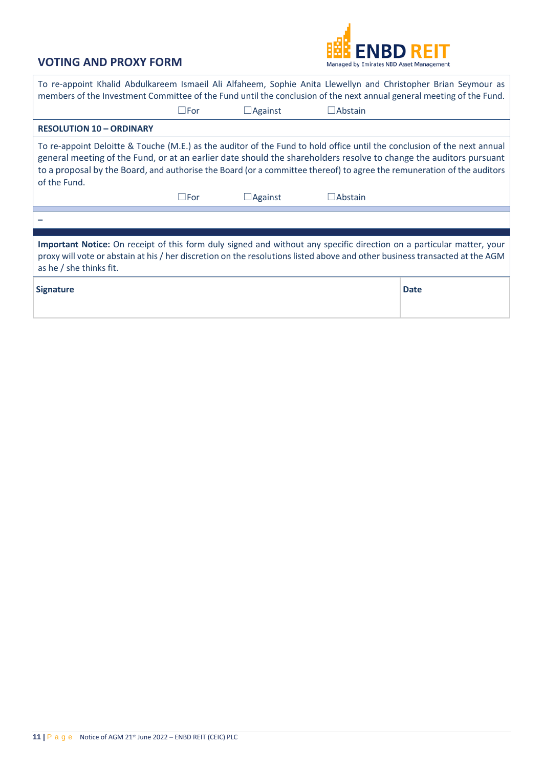

| To re-appoint Khalid Abdulkareem Ismaeil Ali Alfaheem, Sophie Anita Llewellyn and Christopher Brian Seymour as<br>members of the Investment Committee of the Fund until the conclusion of the next annual general meeting of the Fund.                                                                                                                                                   |               |                |                |             |  |  |  |
|------------------------------------------------------------------------------------------------------------------------------------------------------------------------------------------------------------------------------------------------------------------------------------------------------------------------------------------------------------------------------------------|---------------|----------------|----------------|-------------|--|--|--|
|                                                                                                                                                                                                                                                                                                                                                                                          | $\square$ For | $\Box$ Against | $\Box$ Abstain |             |  |  |  |
| <b>RESOLUTION 10 - ORDINARY</b>                                                                                                                                                                                                                                                                                                                                                          |               |                |                |             |  |  |  |
| To re-appoint Deloitte & Touche (M.E.) as the auditor of the Fund to hold office until the conclusion of the next annual<br>general meeting of the Fund, or at an earlier date should the shareholders resolve to change the auditors pursuant<br>to a proposal by the Board, and authorise the Board (or a committee thereof) to agree the remuneration of the auditors<br>of the Fund. |               |                |                |             |  |  |  |
|                                                                                                                                                                                                                                                                                                                                                                                          | $\square$ For | $\Box$ Against | $\Box$ Abstain |             |  |  |  |
|                                                                                                                                                                                                                                                                                                                                                                                          |               |                |                |             |  |  |  |
|                                                                                                                                                                                                                                                                                                                                                                                          |               |                |                |             |  |  |  |
| Important Notice: On receipt of this form duly signed and without any specific direction on a particular matter, your<br>proxy will vote or abstain at his / her discretion on the resolutions listed above and other business transacted at the AGM<br>as he / she thinks fit.                                                                                                          |               |                |                |             |  |  |  |
| <b>Signature</b>                                                                                                                                                                                                                                                                                                                                                                         |               |                |                | <b>Date</b> |  |  |  |